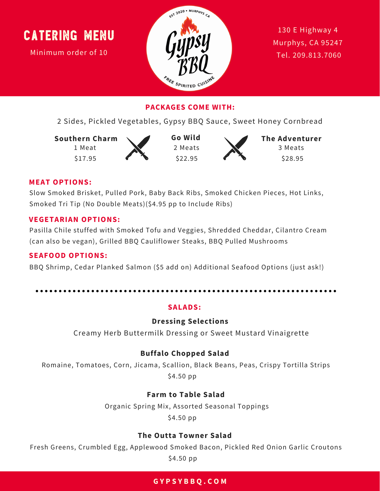Minimum order of 10



130 E Highway 4 Murphys, CA 95247 [T](tel:209.813.7060)el. [209.813.7060](tel:209.813.7060)

### **PACKAGES COME WITH:**

2 Sides, Pickled Vegetables, Gypsy BBQ Sauce, Sweet Honey Cornbread

**Southern Charm** 1 Meat

\$17.95



\$22.95 **Go Wild** 2 Meats



\$28.95 **The Adventurer** 3 Meats

#### **MEAT OPTIONS:**

Slow Smoked Brisket, Pulled Pork, Baby Back Ribs, Smoked Chicken Pieces, Hot Links, Smoked Tri Tip (No Double Meats)(\$4.95 pp to Include Ribs)

#### **VEGETARIAN OPTIONS:**

Pasilla Chile stuffed with Smoked Tofu and Veggies, Shredded Cheddar, Cilantro Cream (can also be vegan), Grilled BBQ Cauliflower Steaks, BBQ Pulled Mushrooms

#### **SEAFOOD OPTIONS:**

BBQ Shrimp, Cedar Planked Salmon (\$5 add on) Additional Seafood Options (just ask!)

#### **SALADS:**

#### **Dressing Selections**

Creamy Herb Buttermilk Dressing or Sweet Mustard Vinaigrette

#### **Buffalo Chopped Salad**

Romaine, Tomatoes, Corn, Jicama, Scallion, Black Beans, Peas, Crispy Tortilla Strips \$4.50 pp

#### **Farm to Table Salad**

Organic Spring Mix, Assorted Seasonal Toppings

\$4.50 pp

#### **The Outta Towner Salad**

Fresh Greens, Crumbled Egg, Applewood Smoked Bacon, Pickled Red Onion Garlic Croutons \$4.50 pp

#### **G Y P S Y B B Q . C O M**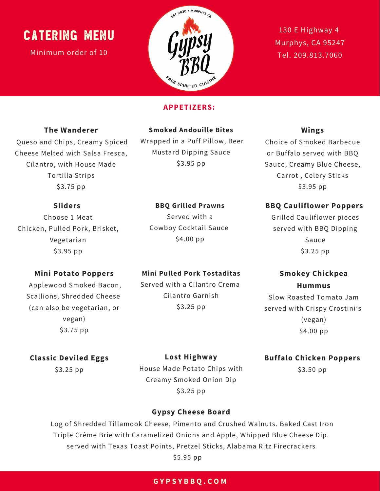Minimum order of 10



130 E Highway 4 Murphys, CA 95247 Tel. [209.813.7060](tel:209.813.7060)

#### **APPETIZERS:**

#### **The Wanderer**

Queso and Chips, Creamy Spiced Cheese Melted with Salsa Fresca, Cilantro, with House Made Tortilla Strips

#### **Smoked Andouille Bites**

Wrapped in a Puff Pillow, Beer Mustard Dipping Sauce \$3.95 pp

**BBQ Grilled Prawns** Served with a Cowboy Cocktail Sauce \$4.00 pp

### **Wings**

Choice of Smoked Barbecue or Buffalo served with BBQ Sauce, Creamy Blue Cheese, Carrot , Celery Sticks \$3.95 pp

#### **Sliders**

\$3.75 pp

Choose 1 Meat Chicken, Pulled Pork, Brisket, Vegetarian \$3.95 pp

#### **Mini Potato Poppers**

Applewood Smoked Bacon, Scallions, Shredded Cheese (can also be vegetarian, or vegan) \$3.75 pp

#### **Mini Pulled Pork Tostaditas**

Served with a Cilantro Crema Cilantro Garnish \$3.25 pp

#### **BBQ Cauliflower Poppers**

Grilled Cauliflower pieces served with BBQ Dipping Sauce \$3.25 pp

### **Smokey Chickpea Hummus**

Slow Roasted Tomato Jam served with Crispy Crostini's (vegan) \$4.00 pp

#### **Classic Deviled Eggs**

\$3.25 pp

House Made Potato Chips with Creamy Smoked Onion Dip \$3.25 pp

**Lost Highway**

#### **Buffalo Chicken Poppers**

\$3.50 pp

#### **Gypsy Cheese Board**

Log of Shredded Tillamook Cheese, Pimento and Crushed Walnuts. Baked Cast Iron Triple Crème Brie with Caramelized Onions and Apple, Whipped Blue Cheese Dip. served with Texas Toast Points, Pretzel Sticks, Alabama Ritz Firecrackers \$5.95 pp

#### **G Y P S Y B B Q . C O M**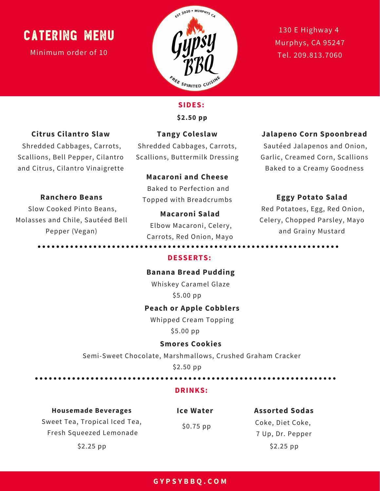Minimum order of 10



130 E Highway 4 Murphys, CA 95247 Tel. [209.813.7060](tel:209.813.7060)

## **Citrus Cilantro Slaw**

Shredded Cabbages, Carrots, Scallions, Bell Pepper, Cilantro and Citrus, Cilantro Vinaigrette

**Ranchero Beans** Slow Cooked Pinto Beans, Molasses and Chile, Sautéed Bell Pepper (Vegan)

# **Tangy Coleslaw**

**SIDES:**

**\$2.50 pp**

Shredded Cabbages, Carrots, Scallions, Buttermilk Dressing

#### **Macaroni and Cheese**

Baked to Perfection and Topped with Breadcrumbs

**Macaroni Salad** Elbow Macaroni, Celery, Carrots, Red Onion, Mayo

#### **Jalapeno Corn Spoonbread**

Sautéed Jalapenos and Onion, Garlic, Creamed Corn, Scallions Baked to a Creamy Goodness

#### **Eggy Potato Salad**

Red Potatoes, Egg, Red Onion, Celery, Chopped Parsley, Mayo and Grainy Mustard

#### **DESSERTS:**

#### **Banana Bread Pudding**

Whiskey Caramel Glaze \$5.00 pp

#### **Peach or Apple Cobblers**

Whipped Cream Topping \$5.00 pp

#### **Smores Cookies**

Semi-Sweet Chocolate, Marshmallows, Crushed Graham Cracker

\$2.50 pp

#### **DRINKS:**

#### **Housemade Beverages**

Sweet Tea, Tropical Iced Tea, Fresh Squeezed Lemonade \$2.25 pp

**Ice Water** \$0.75 pp

### **Assorted Sodas** Coke, Diet Coke,

7 Up, Dr. Pepper \$2.25 pp

#### **G Y P S Y B B Q . C O M**